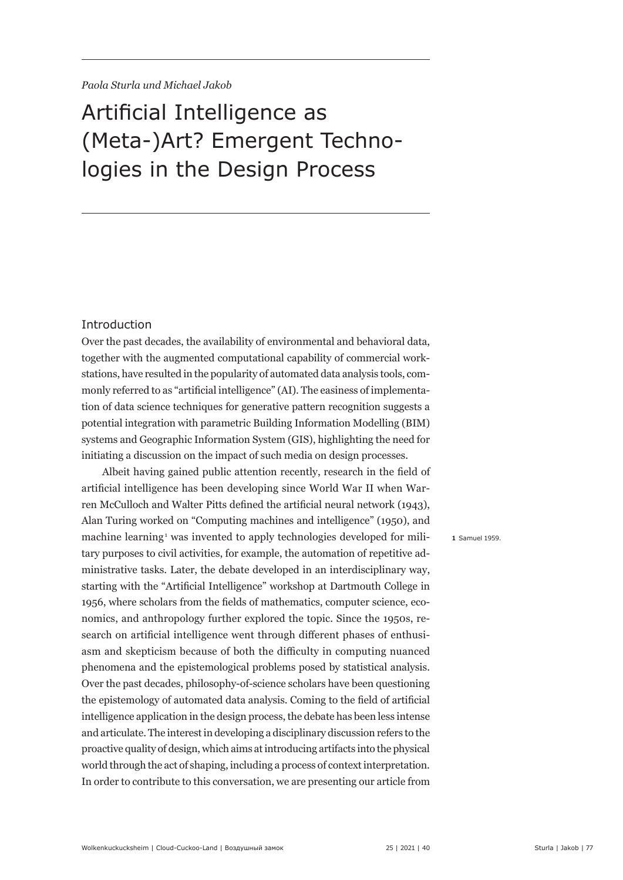# Artificial Intelligence as (Meta-)Art? Emergent Technologies in the Design Process

#### Introduction

Over the past decades, the availability of environmental and behavioral data, together with the augmented computational capability of commercial workstations, have resulted in the popularity of automated data analysis tools, commonly referred to as "artificial intelligence" (AI). The easiness of implementation of data science techniques for generative pattern recognition suggests a potential integration with parametric Building Information Modelling (BIM) systems and Geographic Information System (GIS), highlighting the need for initiating a discussion on the impact of such media on design processes.

Albeit having gained public attention recently, research in the field of artificial intelligence has been developing since World War II when Warren McCulloch and Walter Pitts defined the artificial neural network (1943), Alan Turing worked on "Computing machines and intelligence" (1950), and machine learning<sup>1</sup> was invented to apply technologies developed for military purposes to civil activities, for example, the automation of repetitive administrative tasks. Later, the debate developed in an interdisciplinary way, starting with the "Artificial Intelligence" workshop at Dartmouth College in 1956, where scholars from the fields of mathematics, computer science, economics, and anthropology further explored the topic. Since the 1950s, research on artificial intelligence went through different phases of enthusiasm and skepticism because of both the difficulty in computing nuanced phenomena and the epistemological problems posed by statistical analysis. Over the past decades, philosophy-of-science scholars have been questioning the epistemology of automated data analysis. Coming to the field of artificial intelligence application in the design process, the debate has been less intense and articulate. The interest in developing a disciplinary discussion refers to the proactive quality of design, which aims at introducing artifacts into the physical world through the act of shaping, including a process of context interpretation. In order to contribute to this conversation, we are presenting our article from

**1** Samuel 1959.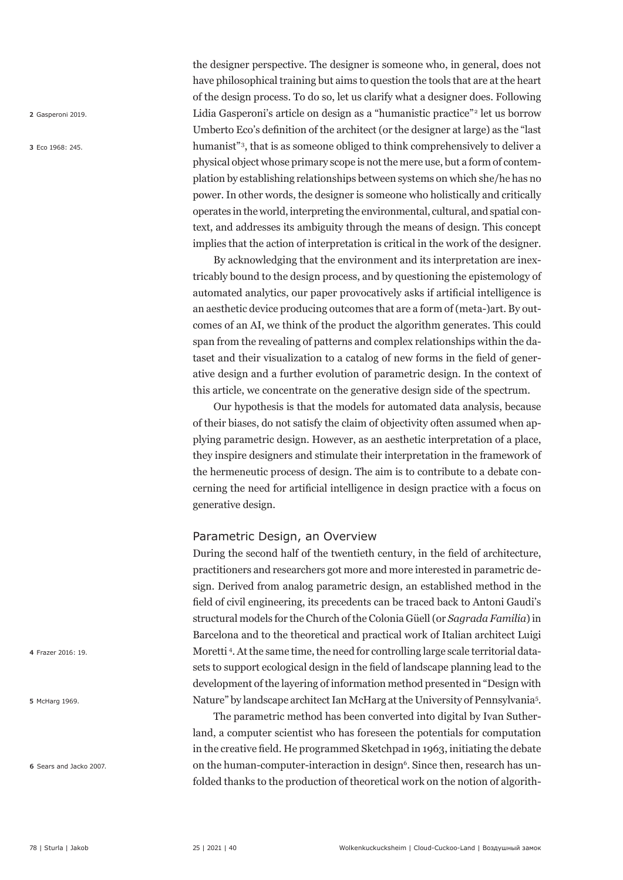**2** Gasperoni 2019.

**3** Eco 1968: 245.

the designer perspective. The designer is someone who, in general, does not have philosophical training but aims to question the tools that are at the heart of the design process. To do so, let us clarify what a designer does. Following Lidia Gasperoni's article on design as a "humanistic practice"<sup>2</sup> let us borrow Umberto Eco's definition of the architect (or the designer at large) as the "last humanist"<sup>3</sup>, that is as someone obliged to think comprehensively to deliver a physical object whose primary scope is not the mere use, but a form of contemplation by establishing relationships between systems on which she/he has no power. In other words, the designer is someone who holistically and critically operates in the world, interpreting the environmental, cultural, and spatial context, and addresses its ambiguity through the means of design. This concept implies that the action of interpretation is critical in the work of the designer.

By acknowledging that the environment and its interpretation are inextricably bound to the design process, and by questioning the epistemology of automated analytics, our paper provocatively asks if artificial intelligence is an aesthetic device producing outcomes that are a form of (meta-)art. By outcomes of an AI, we think of the product the algorithm generates. This could span from the revealing of patterns and complex relationships within the dataset and their visualization to a catalog of new forms in the field of generative design and a further evolution of parametric design. In the context of this article, we concentrate on the generative design side of the spectrum.

Our hypothesis is that the models for automated data analysis, because of their biases, do not satisfy the claim of objectivity often assumed when applying parametric design. However, as an aesthetic interpretation of a place, they inspire designers and stimulate their interpretation in the framework of the hermeneutic process of design. The aim is to contribute to a debate concerning the need for artificial intelligence in design practice with a focus on generative design.

#### Parametric Design, an Overview

During the second half of the twentieth century, in the field of architecture, practitioners and researchers got more and more interested in parametric design. Derived from analog parametric design, an established method in the field of civil engineering, its precedents can be traced back to Antoni Gaudi's structural models for the Church of the Colonia Güell (or *Sagrada Familia*) in Barcelona and to the theoretical and practical work of Italian architect Luigi Moretti <sup>4</sup> . At the same time, the need for controlling large scale territorial datasets to support ecological design in the field of landscape planning lead to the development of the layering of information method presented in "Design with Nature" by landscape architect Ian McHarg at the University of Pennsylvania<sup>5</sup>.

The parametric method has been converted into digital by Ivan Sutherland, a computer scientist who has foreseen the potentials for computation in the creative field. He programmed Sketchpad in 1963, initiating the debate on the human-computer-interaction in design<sup>6</sup>. Since then, research has unfolded thanks to the production of theoretical work on the notion of algorith-

**4** Frazer 2016: 19.

**5** McHarg 1969.

**6** Sears and Jacko 2007.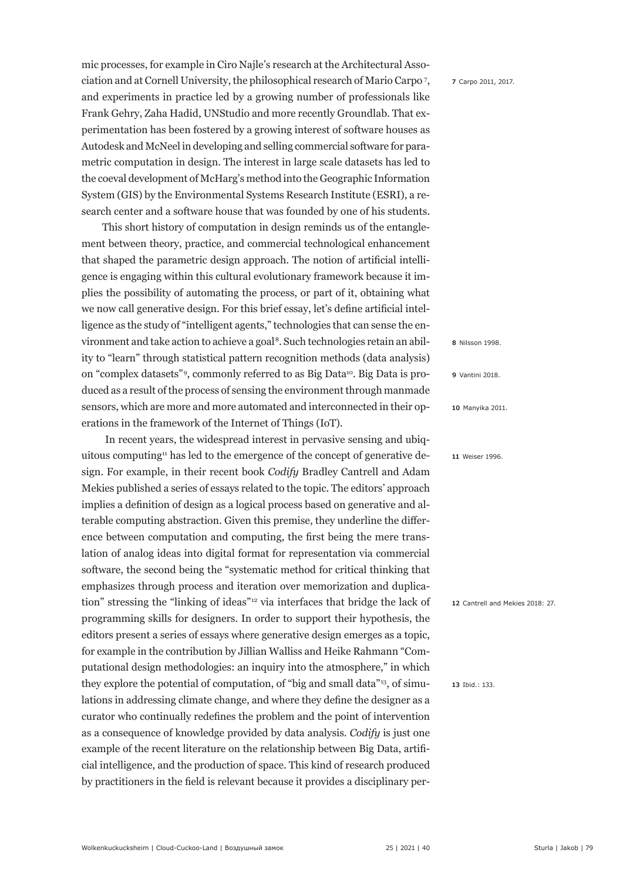mic processes, for example in Ciro Najle's research at the Architectural Association and at Cornell University, the philosophical research of Mario Carpo <sup>7</sup> , and experiments in practice led by a growing number of professionals like Frank Gehry, Zaha Hadid, UNStudio and more recently Groundlab. That experimentation has been fostered by a growing interest of software houses as Autodesk and McNeel in developing and selling commercial software for parametric computation in design. The interest in large scale datasets has led to the coeval development of McHarg's method into the Geographic Information System (GIS) by the Environmental Systems Research Institute (ESRI), a research center and a software house that was founded by one of his students.

This short history of computation in design reminds us of the entanglement between theory, practice, and commercial technological enhancement that shaped the parametric design approach. The notion of artificial intelligence is engaging within this cultural evolutionary framework because it implies the possibility of automating the process, or part of it, obtaining what we now call generative design. For this brief essay, let's define artificial intelligence as the study of "intelligent agents," technologies that can sense the environment and take action to achieve a goal 8. Such technologies retain an ability to "learn" through statistical pattern recognition methods (data analysis) on "complex datasets"<sup>9</sup>, commonly referred to as Big Data<sup>10</sup>. Big Data is produced as a result of the process of sensing the environment through manmade sensors, which are more and more automated and interconnected in their operations in the framework of the Internet of Things (IoT).

 In recent years, the widespread interest in pervasive sensing and ubiquitous computing $11$  has led to the emergence of the concept of generative design. For example, in their recent book *Codify* Bradley Cantrell and Adam Mekies published a series of essays related to the topic. The editors' approach implies a definition of design as a logical process based on generative and alterable computing abstraction. Given this premise, they underline the difference between computation and computing, the first being the mere translation of analog ideas into digital format for representation via commercial software, the second being the "systematic method for critical thinking that emphasizes through process and iteration over memorization and duplication" stressing the "linking of ideas"12 via interfaces that bridge the lack of programming skills for designers. In order to support their hypothesis, the editors present a series of essays where generative design emerges as a topic, for example in the contribution by Jillian Walliss and Heike Rahmann "Computational design methodologies: an inquiry into the atmosphere," in which they explore the potential of computation, of "big and small data"13, of simulations in addressing climate change, and where they define the designer as a curator who continually redefines the problem and the point of intervention as a consequence of knowledge provided by data analysis. *Codify* is just one example of the recent literature on the relationship between Big Data, artificial intelligence, and the production of space. This kind of research produced by practitioners in the field is relevant because it provides a disciplinary per**7** Carpo 2011, 2017.

**8** Nilsson 1998.

**9** Vantini 2018.

**10** Manyika 2011.

**11** Weiser 1996.

**12** Cantrell and Mekies 2018: 27.

**13** Ibid.: 133.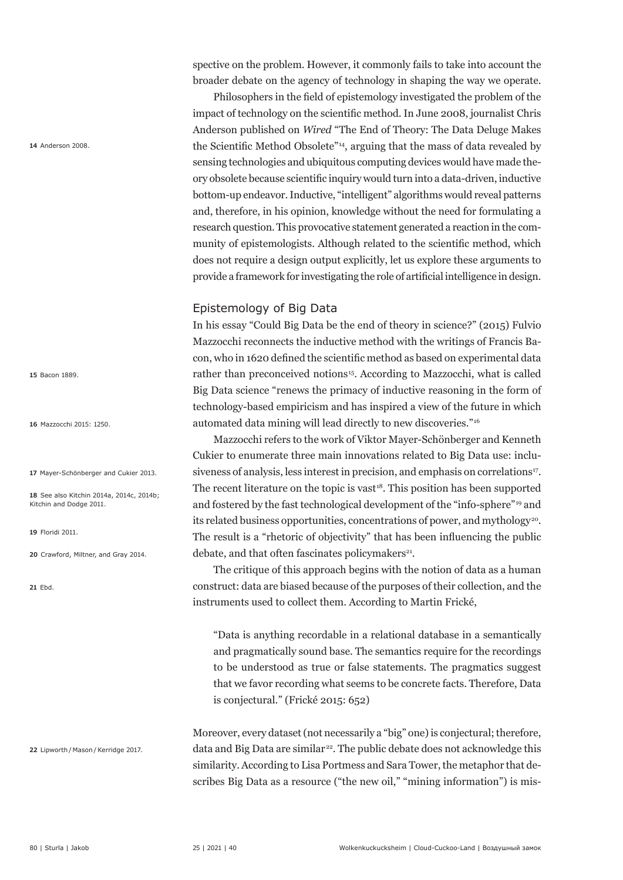spective on the problem. However, it commonly fails to take into account the broader debate on the agency of technology in shaping the way we operate.

 Philosophers in the field of epistemology investigated the problem of the impact of technology on the scientific method. In June 2008, journalist Chris Anderson published on *Wired* "The End of Theory: The Data Deluge Makes the Scientific Method Obsolete"14, arguing that the mass of data revealed by sensing technologies and ubiquitous computing devices would have made theory obsolete because scientific inquiry would turn into a data-driven, inductive bottom-up endeavor. Inductive, "intelligent" algorithms would reveal patterns and, therefore, in his opinion, knowledge without the need for formulating a research question. This provocative statement generated a reaction in the community of epistemologists. Although related to the scientific method, which does not require a design output explicitly, let us explore these arguments to provide a framework for investigating the role of artificial intelligence in design.

# Epistemology of Big Data

In his essay "Could Big Data be the end of theory in science?" (2015) Fulvio Mazzocchi reconnects the inductive method with the writings of Francis Bacon, who in 1620 defined the scientific method as based on experimental data rather than preconceived notions<sup>15</sup>. According to Mazzocchi, what is called Big Data science "renews the primacy of inductive reasoning in the form of technology-based empiricism and has inspired a view of the future in which automated data mining will lead directly to new discoveries."16

Mazzocchi refers to the work of Viktor Mayer-Schönberger and Kenneth Cukier to enumerate three main innovations related to Big Data use: inclusiveness of analysis, less interest in precision, and emphasis on correlations<sup>17</sup>. The recent literature on the topic is vast $18$ . This position has been supported and fostered by the fast technological development of the "info-sphere"19 and its related business opportunities, concentrations of power, and mythology<sup>20</sup>. The result is a "rhetoric of objectivity" that has been influencing the public debate, and that often fascinates policymakers<sup>21</sup>.

The critique of this approach begins with the notion of data as a human construct: data are biased because of the purposes of their collection, and the instruments used to collect them. According to Martin Frické,

"Data is anything recordable in a relational database in a semantically and pragmatically sound base. The semantics require for the recordings to be understood as true or false statements. The pragmatics suggest that we favor recording what seems to be concrete facts. Therefore, Data is conjectural." (Frické 2015: 652)

Moreover, every dataset (not necessarily a "big" one) is conjectural; therefore, data and Big Data are similar<sup>22</sup>. The public debate does not acknowledge this similarity. According to Lisa Portmess and Sara Tower, the metaphor that describes Big Data as a resource ("the new oil," "mining information") is mis-

**14** Anderson 2008.

**15** Bacon 1889.

**16** Mazzocchi 2015: 1250.

**17** Mayer-Schönberger and Cukier 2013.

**18** See also Kitchin 2014a, 2014c, 2014b; Kitchin and Dodge 2011.

**19** Floridi 2011.

**20** Crawford, Miltner, and Gray 2014.

**21** Ebd.

22 Lipworth / Mason / Kerridge 2017.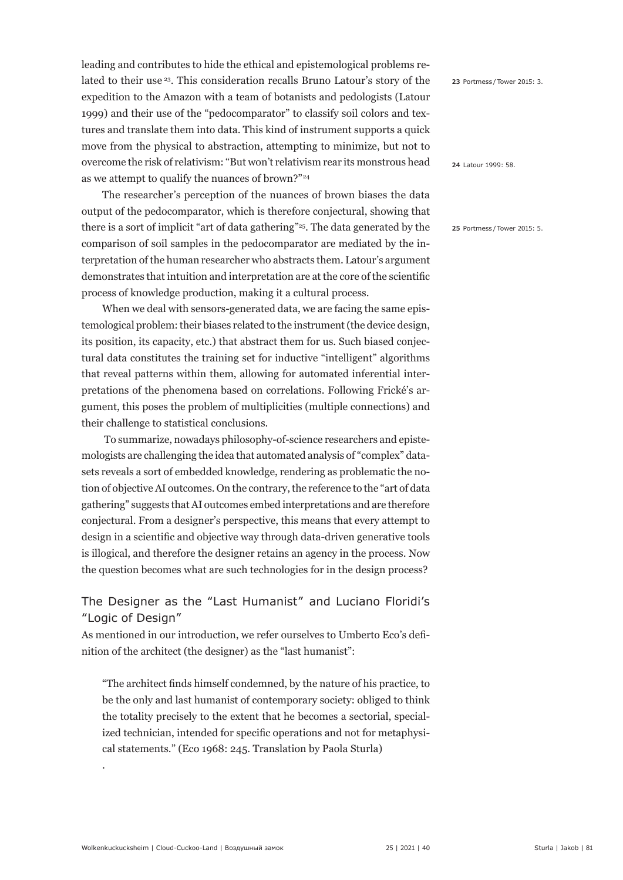leading and contributes to hide the ethical and epistemological problems related to their use <sup>23</sup>. This consideration recalls Bruno Latour's story of the expedition to the Amazon with a team of botanists and pedologists (Latour 1999) and their use of the "pedocomparator" to classify soil colors and textures and translate them into data. This kind of instrument supports a quick move from the physical to abstraction, attempting to minimize, but not to overcome the risk of relativism: "But won't relativism rear its monstrous head as we attempt to qualify the nuances of brown?"24

The researcher's perception of the nuances of brown biases the data output of the pedocomparator, which is therefore conjectural, showing that there is a sort of implicit "art of data gathering"25. The data generated by the comparison of soil samples in the pedocomparator are mediated by the interpretation of the human researcher who abstracts them. Latour's argument demonstrates that intuition and interpretation are at the core of the scientific process of knowledge production, making it a cultural process.

When we deal with sensors-generated data, we are facing the same epistemological problem: their biases related to the instrument (the device design, its position, its capacity, etc.) that abstract them for us. Such biased conjectural data constitutes the training set for inductive "intelligent" algorithms that reveal patterns within them, allowing for automated inferential interpretations of the phenomena based on correlations. Following Frické's argument, this poses the problem of multiplicities (multiple connections) and their challenge to statistical conclusions.

 To summarize, nowadays philosophy-of-science researchers and epistemologists are challenging the idea that automated analysis of "complex" datasets reveals a sort of embedded knowledge, rendering as problematic the notion of objective AI outcomes. On the contrary, the reference to the "art of data gathering" suggests that AI outcomes embed interpretations and are therefore conjectural. From a designer's perspective, this means that every attempt to design in a scientific and objective way through data-driven generative tools is illogical, and therefore the designer retains an agency in the process. Now the question becomes what are such technologies for in the design process?

# The Designer as the "Last Humanist" and Luciano Floridi's "Logic of Design"

As mentioned in our introduction, we refer ourselves to Umberto Eco's definition of the architect (the designer) as the "last humanist":

"The architect finds himself condemned, by the nature of his practice, to be the only and last humanist of contemporary society: obliged to think the totality precisely to the extent that he becomes a sectorial, specialized technician, intended for specific operations and not for metaphysical statements." (Eco 1968: 245. Translation by Paola Sturla)

**23** Portmess / Tower 2015: 3.

**24** Latour 1999: 58.

**25** Portmess / Tower 2015: 5.

.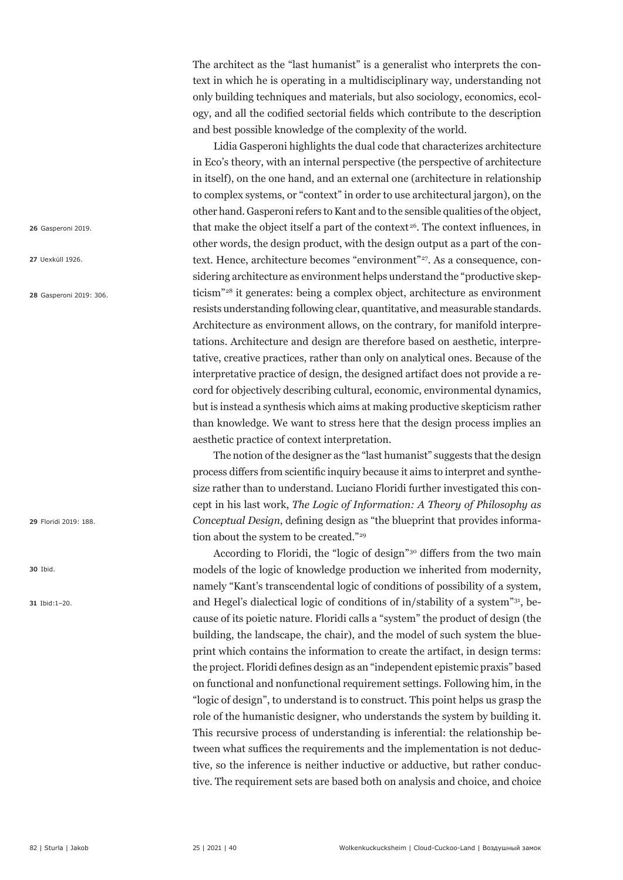The architect as the "last humanist" is a generalist who interprets the context in which he is operating in a multidisciplinary way, understanding not only building techniques and materials, but also sociology, economics, ecology, and all the codified sectorial fields which contribute to the description and best possible knowledge of the complexity of the world.

Lidia Gasperoni highlights the dual code that characterizes architecture in Eco's theory, with an internal perspective (the perspective of architecture in itself), on the one hand, and an external one (architecture in relationship to complex systems, or "context" in order to use architectural jargon), on the other hand. Gasperoni refers to Kant and to the sensible qualities of the object, that make the object itself a part of the context<sup>26</sup>. The context influences, in other words, the design product, with the design output as a part of the context. Hence, architecture becomes "environment"<sup>27</sup>. As a consequence, considering architecture as environment helps understand the "productive skepticism"28 it generates: being a complex object, architecture as environment resists understanding following clear, quantitative, and measurable standards. Architecture as environment allows, on the contrary, for manifold interpretations. Architecture and design are therefore based on aesthetic, interpretative, creative practices, rather than only on analytical ones. Because of the interpretative practice of design, the designed artifact does not provide a record for objectively describing cultural, economic, environmental dynamics, but is instead a synthesis which aims at making productive skepticism rather than knowledge. We want to stress here that the design process implies an aesthetic practice of context interpretation.

The notion of the designer as the "last humanist" suggests that the design process differs from scientific inquiry because it aims to interpret and synthesize rather than to understand. Luciano Floridi further investigated this concept in his last work, *The Logic of Information: A Theory of Philosophy as Conceptual Design*, defining design as "the blueprint that provides information about the system to be created."<sup>29</sup>

According to Floridi, the "logic of design"30 differs from the two main models of the logic of knowledge production we inherited from modernity, namely "Kant's transcendental logic of conditions of possibility of a system, and Hegel's dialectical logic of conditions of in/stability of a system"31, because of its poietic nature. Floridi calls a "system" the product of design (the building, the landscape, the chair), and the model of such system the blueprint which contains the information to create the artifact, in design terms: the project. Floridi defines design as an "independent epistemic praxis" based on functional and nonfunctional requirement settings. Following him, in the "logic of design", to understand is to construct. This point helps us grasp the role of the humanistic designer, who understands the system by building it. This recursive process of understanding is inferential: the relationship between what suffices the requirements and the implementation is not deductive, so the inference is neither inductive or adductive, but rather conductive. The requirement sets are based both on analysis and choice, and choice

**26** Gasperoni 2019.

**27** Uexküll 1926.

**28** Gasperoni 2019: 306.

**29** Floridi 2019: 188.

**30** Ibid.

**31** Ibid:1–20.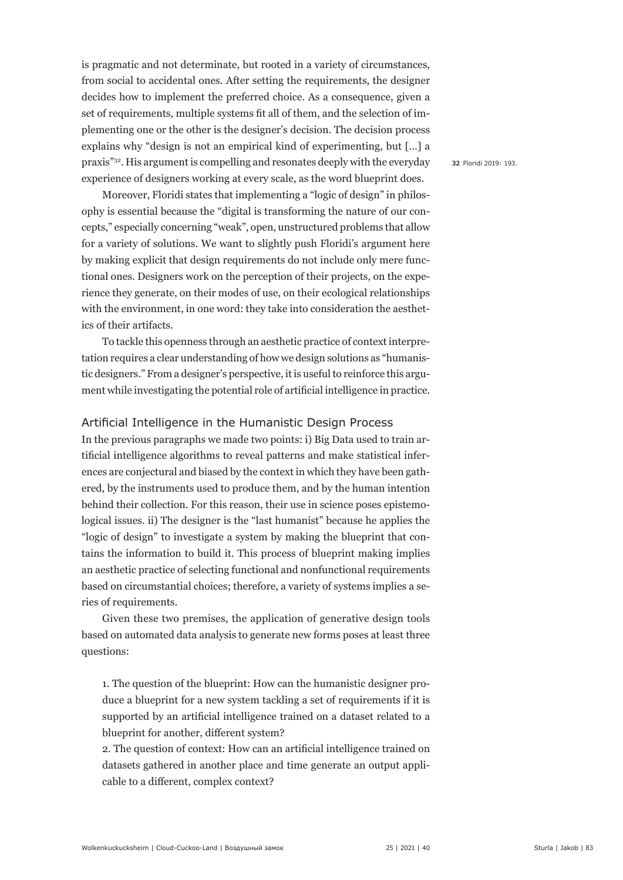is pragmatic and not determinate, but rooted in a variety of circumstances, from social to accidental ones. After setting the requirements, the designer decides how to implement the preferred choice. As a consequence, given a set of requirements, multiple systems fit all of them, and the selection of implementing one or the other is the designer's decision. The decision process explains why "design is not an empirical kind of experimenting, but […] a praxis"32. His argument is compelling and resonates deeply with the everyday experience of designers working at every scale, as the word blueprint does.

Moreover, Floridi states that implementing a "logic of design" in philosophy is essential because the "digital is transforming the nature of our concepts," especially concerning "weak", open, unstructured problems that allow for a variety of solutions. We want to slightly push Floridi's argument here by making explicit that design requirements do not include only mere functional ones. Designers work on the perception of their projects, on the experience they generate, on their modes of use, on their ecological relationships with the environment, in one word: they take into consideration the aesthetics of their artifacts.

To tackle this openness through an aesthetic practice of context interpretation requires a clear understanding of how we design solutions as "humanistic designers." From a designer's perspective, it is useful to reinforce this argument while investigating the potential role of artificial intelligence in practice.

#### Artificial Intelligence in the Humanistic Design Process

In the previous paragraphs we made two points: i) Big Data used to train artificial intelligence algorithms to reveal patterns and make statistical inferences are conjectural and biased by the context in which they have been gathered, by the instruments used to produce them, and by the human intention behind their collection. For this reason, their use in science poses epistemological issues. ii) The designer is the "last humanist" because he applies the "logic of design" to investigate a system by making the blueprint that contains the information to build it. This process of blueprint making implies an aesthetic practice of selecting functional and nonfunctional requirements based on circumstantial choices; therefore, a variety of systems implies a series of requirements.

Given these two premises, the application of generative design tools based on automated data analysis to generate new forms poses at least three questions:

1. The question of the blueprint: How can the humanistic designer produce a blueprint for a new system tackling a set of requirements if it is supported by an artificial intelligence trained on a dataset related to a blueprint for another, different system?

2. The question of context: How can an artificial intelligence trained on datasets gathered in another place and time generate an output applicable to a different, complex context?

**32** Floridi 2019: 193.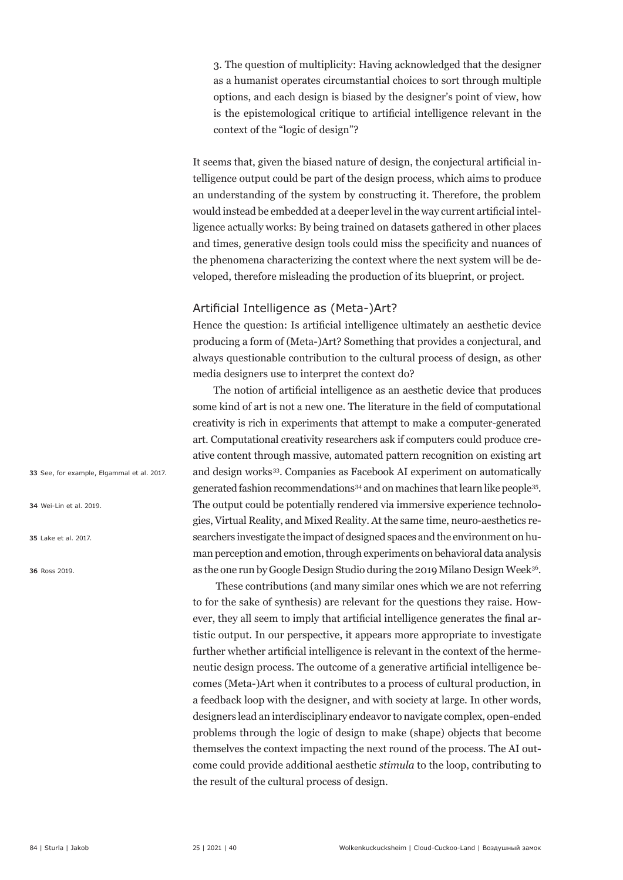3. The question of multiplicity: Having acknowledged that the designer as a humanist operates circumstantial choices to sort through multiple options, and each design is biased by the designer's point of view, how is the epistemological critique to artificial intelligence relevant in the context of the "logic of design"?

It seems that, given the biased nature of design, the conjectural artificial intelligence output could be part of the design process, which aims to produce an understanding of the system by constructing it. Therefore, the problem would instead be embedded at a deeper level in the way current artificial intelligence actually works: By being trained on datasets gathered in other places and times, generative design tools could miss the specificity and nuances of the phenomena characterizing the context where the next system will be developed, therefore misleading the production of its blueprint, or project.

### Artificial Intelligence as (Meta-)Art?

Hence the question: Is artificial intelligence ultimately an aesthetic device producing a form of (Meta-)Art? Something that provides a conjectural, and always questionable contribution to the cultural process of design, as other media designers use to interpret the context do?

The notion of artificial intelligence as an aesthetic device that produces some kind of art is not a new one. The literature in the field of computational creativity is rich in experiments that attempt to make a computer-generated art. Computational creativity researchers ask if computers could produce creative content through massive, automated pattern recognition on existing art and design works<sup>33</sup>. Companies as Facebook AI experiment on automatically generated fashion recommendations<sup>34</sup> and on machines that learn like people<sup>35</sup>. The output could be potentially rendered via immersive experience technologies, Virtual Reality, and Mixed Reality. At the same time, neuro-aesthetics researchers investigate the impact of designed spaces and the environment on human perception and emotion, through experiments on behavioral data analysis as the one run by Google Design Studio during the 2019 Milano Design Week<sup>36</sup>.

 These contributions (and many similar ones which we are not referring to for the sake of synthesis) are relevant for the questions they raise. However, they all seem to imply that artificial intelligence generates the final artistic output. In our perspective, it appears more appropriate to investigate further whether artificial intelligence is relevant in the context of the hermeneutic design process. The outcome of a generative artificial intelligence becomes (Meta-)Art when it contributes to a process of cultural production, in a feedback loop with the designer, and with society at large. In other words, designers lead an interdisciplinary endeavor to navigate complex, open-ended problems through the logic of design to make (shape) objects that become themselves the context impacting the next round of the process. The AI outcome could provide additional aesthetic *stimula* to the loop, contributing to the result of the cultural process of design.

**33** See, for example, Elgammal et al. 2017.

**34** Wei-Lin et al. 2019.

**35** Lake et al. 2017.

**36** Ross 2019.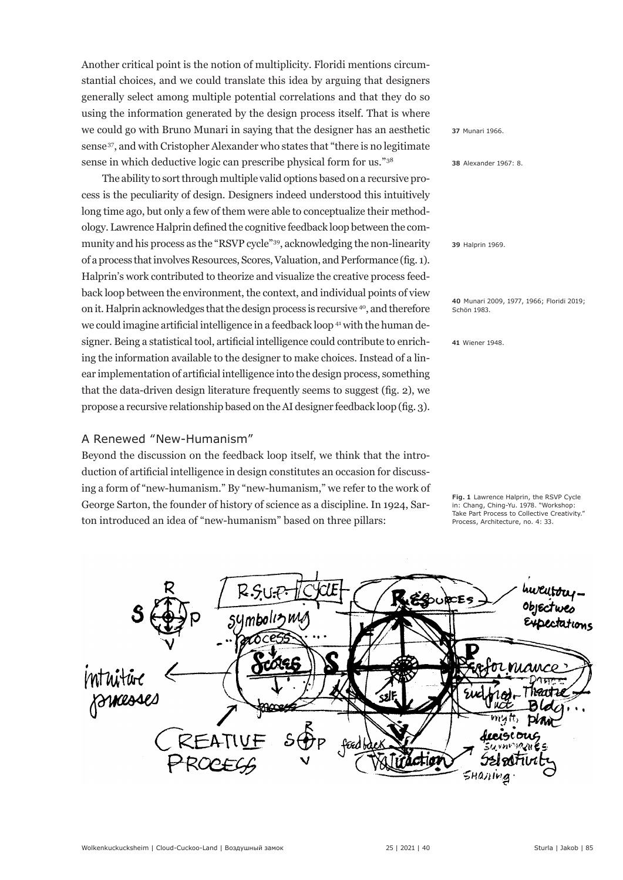Another critical point is the notion of multiplicity. Floridi mentions circumstantial choices, and we could translate this idea by arguing that designers generally select among multiple potential correlations and that they do so using the information generated by the design process itself. That is where we could go with Bruno Munari in saying that the designer has an aesthetic sense 37, and with Cristopher Alexander who states that "there is no legitimate sense in which deductive logic can prescribe physical form for us."38

The ability to sort through multiple valid options based on a recursive process is the peculiarity of design. Designers indeed understood this intuitively long time ago, but only a few of them were able to conceptualize their methodology. Lawrence Halprin defined the cognitive feedback loop between the community and his process as the "RSVP cycle"39, acknowledging the non-linearity of a process that involves Resources, Scores, Valuation, and Performance (fig. 1). Halprin's work contributed to theorize and visualize the creative process feedback loop between the environment, the context, and individual points of view on it. Halprin acknowledges that the design process is recursive <sup>40</sup>, and therefore we could imagine artificial intelligence in a feedback loop <sup>41</sup> with the human designer. Being a statistical tool, artificial intelligence could contribute to enriching the information available to the designer to make choices. Instead of a linear implementation of artificial intelligence into the design process, something that the data-driven design literature frequently seems to suggest (fig. 2), we propose a recursive relationship based on the AI designer feedback loop (fig. 3).

#### A Renewed "New-Humanism"

Beyond the discussion on the feedback loop itself, we think that the introduction of artificial intelligence in design constitutes an occasion for discussing a form of "new-humanism." By "new-humanism," we refer to the work of George Sarton, the founder of history of science as a discipline. In 1924, Sarton introduced an idea of "new-humanism" based on three pillars:

**37** Munari 1966.

**38** Alexander 1967: 8.

**39** Halprin 1969.

**40** Munari 2009, 1977, 1966; Floridi 2019; Schön 1983.

**41** Wiener 1948.

**Fig. 1** Lawrence Halprin, the RSVP Cycle in: Chang, Ching-Yu. 1978. "Workshop: Take Part Process to Collective Creativity." Process, Architecture, no. 4: 33.

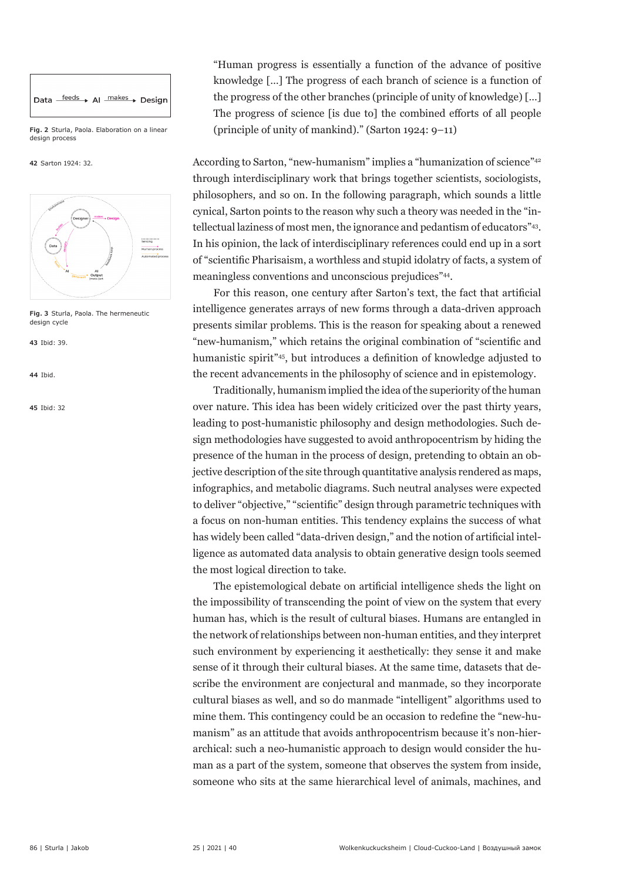

**Fig. 2** Sturla, Paola. Elaboration on a linear design process

**42** Sarton 1924: 32.



**Fig. 3** Sturla, Paola. The hermeneutic design cycle

**43** Ibid: 39.

**44** Ibid.

**45** Ibid: 32

"Human progress is essentially a function of the advance of positive knowledge […] The progress of each branch of science is a function of the progress of the other branches (principle of unity of knowledge) […] The progress of science [is due to] the combined efforts of all people (principle of unity of mankind)." (Sarton 1924: 9–11)

According to Sarton, "new-humanism" implies a "humanization of science"<sup>42</sup> through interdisciplinary work that brings together scientists, sociologists, philosophers, and so on. In the following paragraph, which sounds a little cynical, Sarton points to the reason why such a theory was needed in the "intellectual laziness of most men, the ignorance and pedantism of educators"43. In his opinion, the lack of interdisciplinary references could end up in a sort of "scientific Pharisaism, a worthless and stupid idolatry of facts, a system of meaningless conventions and unconscious prejudices"<sup>44</sup>.

For this reason, one century after Sarton's text, the fact that artificial intelligence generates arrays of new forms through a data-driven approach presents similar problems. This is the reason for speaking about a renewed "new-humanism," which retains the original combination of "scientific and humanistic spirit"45, but introduces a definition of knowledge adjusted to the recent advancements in the philosophy of science and in epistemology.

Traditionally, humanism implied the idea of the superiority of the human over nature. This idea has been widely criticized over the past thirty years, leading to post-humanistic philosophy and design methodologies. Such design methodologies have suggested to avoid anthropocentrism by hiding the presence of the human in the process of design, pretending to obtain an objective description of the site through quantitative analysis rendered as maps, infographics, and metabolic diagrams. Such neutral analyses were expected to deliver "objective," "scientific" design through parametric techniques with a focus on non-human entities. This tendency explains the success of what has widely been called "data-driven design," and the notion of artificial intelligence as automated data analysis to obtain generative design tools seemed the most logical direction to take.

The epistemological debate on artificial intelligence sheds the light on the impossibility of transcending the point of view on the system that every human has, which is the result of cultural biases. Humans are entangled in the network of relationships between non-human entities, and they interpret such environment by experiencing it aesthetically: they sense it and make sense of it through their cultural biases. At the same time, datasets that describe the environment are conjectural and manmade, so they incorporate cultural biases as well, and so do manmade "intelligent" algorithms used to mine them. This contingency could be an occasion to redefine the "new-humanism" as an attitude that avoids anthropocentrism because it's non-hierarchical: such a neo-humanistic approach to design would consider the human as a part of the system, someone that observes the system from inside, someone who sits at the same hierarchical level of animals, machines, and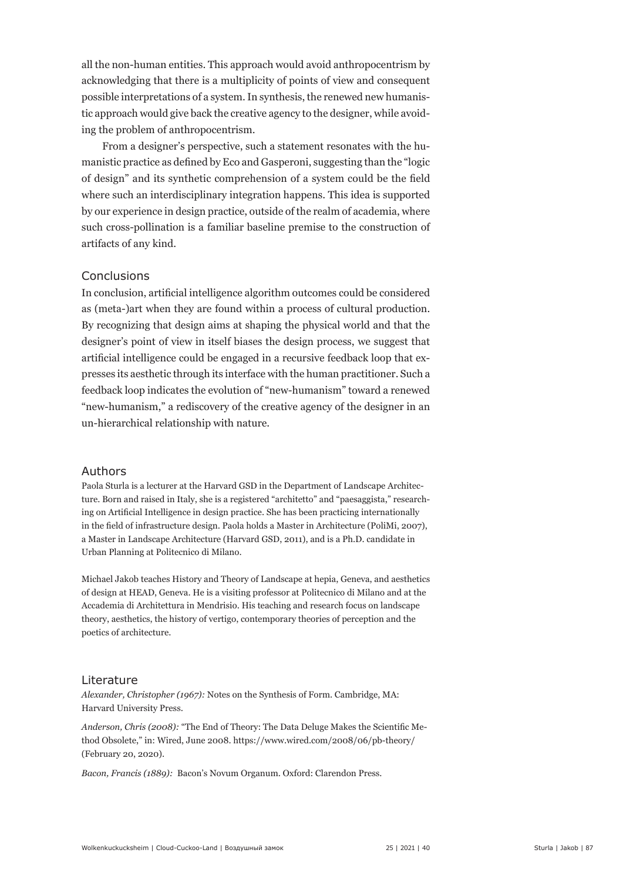all the non-human entities. This approach would avoid anthropocentrism by acknowledging that there is a multiplicity of points of view and consequent possible interpretations of a system. In synthesis, the renewed new humanistic approach would give back the creative agency to the designer, while avoiding the problem of anthropocentrism.

From a designer's perspective, such a statement resonates with the humanistic practice as defined by Eco and Gasperoni, suggesting than the "logic of design" and its synthetic comprehension of a system could be the field where such an interdisciplinary integration happens. This idea is supported by our experience in design practice, outside of the realm of academia, where such cross-pollination is a familiar baseline premise to the construction of artifacts of any kind.

#### Conclusions

In conclusion, artificial intelligence algorithm outcomes could be considered as (meta-)art when they are found within a process of cultural production. By recognizing that design aims at shaping the physical world and that the designer's point of view in itself biases the design process, we suggest that artificial intelligence could be engaged in a recursive feedback loop that expresses its aesthetic through its interface with the human practitioner. Such a feedback loop indicates the evolution of "new-humanism" toward a renewed "new-humanism," a rediscovery of the creative agency of the designer in an un-hierarchical relationship with nature.

#### Authors

Paola Sturla is a lecturer at the Harvard GSD in the Department of Landscape Architecture. Born and raised in Italy, she is a registered "architetto" and "paesaggista," researching on Artificial Intelligence in design practice. She has been practicing internationally in the field of infrastructure design. Paola holds a Master in Architecture (PoliMi, 2007), a Master in Landscape Architecture (Harvard GSD, 2011), and is a Ph.D. candidate in Urban Planning at Politecnico di Milano.

Michael Jakob teaches History and Theory of Landscape at hepia, Geneva, and aesthetics of design at HEAD, Geneva. He is a visiting professor at Politecnico di Milano and at the Accademia di Architettura in Mendrisio. His teaching and research focus on landscape theory, aesthetics, the history of vertigo, contemporary theories of perception and the poetics of architecture.

#### Literature

*Alexander, Christopher (1967):* Notes on the Synthesis of Form. Cambridge, MA: Harvard University Press.

*Anderson, Chris (2008):* "The End of Theory: The Data Deluge Makes the Scientific Method Obsolete," in: Wired, June 2008. https://www.wired.com/2008/06/pb-theory/ (February 20, 2020).

*Bacon, Francis (1889):* Bacon's Novum Organum. Oxford: Clarendon Press.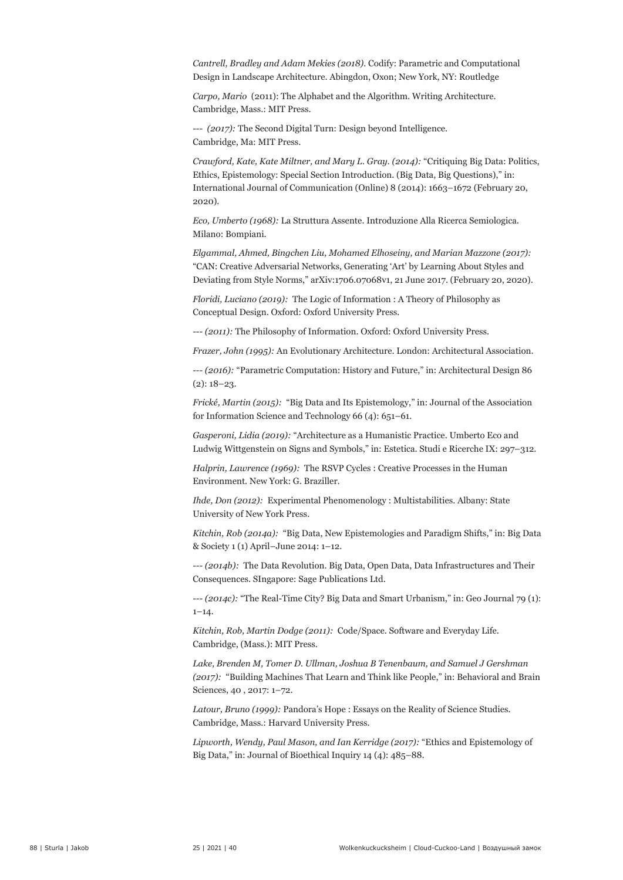*Cantrell, Bradley and Adam Mekies (2018).* Codify: Parametric and Computational Design in Landscape Architecture. Abingdon, Oxon; New York, NY: Routledge

*Carpo, Mario* (2011): The Alphabet and the Algorithm. Writing Architecture. Cambridge, Mass.: MIT Press.

*--- (2017):* The Second Digital Turn: Design beyond Intelligence. Cambridge, Ma: MIT Press.

*Crawford, Kate, Kate Miltner, and Mary L. Gray. (2014):* "Critiquing Big Data: Politics, Ethics, Epistemology: Special Section Introduction. (Big Data, Big Questions)," in: International Journal of Communication (Online) 8 (2014): 1663–1672 (February 20, 2020).

*Eco, Umberto (1968):* La Struttura Assente. Introduzione Alla Ricerca Semiologica. Milano: Bompiani.

*Elgammal, Ahmed, Bingchen Liu, Mohamed Elhoseiny, and Marian Mazzone (2017):*  "CAN: Creative Adversarial Networks, Generating 'Art' by Learning About Styles and Deviating from Style Norms," arXiv:1706.07068v1, 21 June 2017. (February 20, 2020).

*Floridi, Luciano (2019):* The Logic of Information : A Theory of Philosophy as Conceptual Design. Oxford: Oxford University Press.

*--- (2011):* The Philosophy of Information. Oxford: Oxford University Press.

*Frazer, John (1995):* An Evolutionary Architecture. London: Architectural Association.

*--- (2016):* "Parametric Computation: History and Future," in: Architectural Design 86  $(2): 18-23.$ 

*Frické, Martin (2015):* "Big Data and Its Epistemology," in: Journal of the Association for Information Science and Technology 66 (4): 651–61.

*Gasperoni, Lidia (2019):* "Architecture as a Humanistic Practice. Umberto Eco and Ludwig Wittgenstein on Signs and Symbols," in: Estetica. Studi e Ricerche IX: 297–312.

*Halprin, Lawrence (1969):* The RSVP Cycles : Creative Processes in the Human Environment. New York: G. Braziller.

*Ihde, Don (2012):* Experimental Phenomenology : Multistabilities. Albany: State University of New York Press.

*Kitchin, Rob (2014a):* "Big Data, New Epistemologies and Paradigm Shifts," in: Big Data & Society 1 (1) April–June 2014: 1–12.

*--- (2014b):* The Data Revolution. Big Data, Open Data, Data Infrastructures and Their Consequences. SIngapore: Sage Publications Ltd.

*--- (2014c):* "The Real-Time City? Big Data and Smart Urbanism," in: Geo Journal 79 (1):  $1 - 14.$ 

*Kitchin, Rob, Martin Dodge (2011):* Code/Space. Software and Everyday Life. Cambridge, (Mass.): MIT Press.

*Lake, Brenden M, Tomer D. Ullman, Joshua B Tenenbaum, and Samuel J Gershman (2017):* "Building Machines That Learn and Think like People," in: Behavioral and Brain Sciences, 40 , 2017: 1–72.

*Latour, Bruno (1999):* Pandora's Hope : Essays on the Reality of Science Studies. Cambridge, Mass.: Harvard University Press.

*Lipworth, Wendy, Paul Mason, and Ian Kerridge (2017):* "Ethics and Epistemology of Big Data," in: Journal of Bioethical Inquiry 14 (4): 485–88.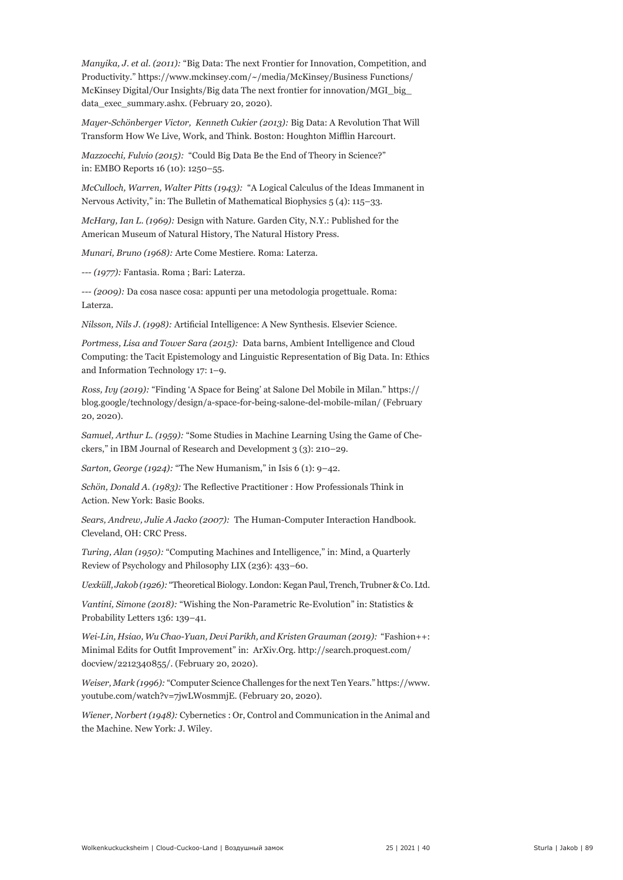*Manyika, J. et al. (2011):* "Big Data: The next Frontier for Innovation, Competition, and Productivity." https://www.mckinsey.com/~/media/McKinsey/Business Functions/ McKinsey Digital/Our Insights/Big data The next frontier for innovation/MGI\_big\_ data\_exec\_summary.ashx. (February 20, 2020).

*Mayer-Schönberger Victor, Kenneth Cukier (2013):* Big Data: A Revolution That Will Transform How We Live, Work, and Think. Boston: Houghton Mifflin Harcourt.

*Mazzocchi, Fulvio (2015):* "Could Big Data Be the End of Theory in Science?" in: EMBO Reports 16 (10): 1250–55.

*McCulloch, Warren, Walter Pitts (1943):* "A Logical Calculus of the Ideas Immanent in Nervous Activity," in: The Bulletin of Mathematical Biophysics 5 (4): 115–33.

*McHarg, Ian L. (1969):* Design with Nature. Garden City, N.Y.: Published for the American Museum of Natural History, The Natural History Press.

*Munari, Bruno (1968):* Arte Come Mestiere. Roma: Laterza.

*--- (1977):* Fantasia. Roma ; Bari: Laterza.

*--- (2009):* Da cosa nasce cosa: appunti per una metodologia progettuale. Roma: Laterza.

*Nilsson, Nils J. (1998):* Artificial Intelligence: A New Synthesis. Elsevier Science.

*Portmess, Lisa and Tower Sara (2015):* Data barns, Ambient Intelligence and Cloud Computing: the Tacit Epistemology and Linguistic Representation of Big Data. In: Ethics and Information Technology 17: 1–9.

*Ross, Ivy (2019):* "Finding 'A Space for Being' at Salone Del Mobile in Milan." https:// blog.google/technology/design/a-space-for-being-salone-del-mobile-milan/ (February 20, 2020).

*Samuel, Arthur L. (1959):* "Some Studies in Machine Learning Using the Game of Checkers," in IBM Journal of Research and Development 3 (3): 210–29.

*Sarton, George (1924):* "The New Humanism," in Isis 6 (1): 9–42.

*Schön, Donald A. (1983):* The Reflective Practitioner : How Professionals Think in Action. New York: Basic Books.

*Sears, Andrew, Julie A Jacko (2007):* The Human-Computer Interaction Handbook. Cleveland, OH: CRC Press.

*Turing, Alan (1950):* "Computing Machines and Intelligence," in: Mind, a Quarterly Review of Psychology and Philosophy LIX (236): 433–60.

*Uexküll, Jakob (1926):* "Theoretical Biology. London: Kegan Paul, Trench, Trubner & Co. Ltd.

*Vantini, Simone (2018):* "Wishing the Non-Parametric Re-Evolution" in: Statistics & Probability Letters 136: 139–41.

*Wei-Lin, Hsiao, Wu Chao-Yuan, Devi Parikh, and Kristen Grauman (2019):* "Fashion++: Minimal Edits for Outfit Improvement" in: ArXiv.Org. http://search.proquest.com/ docview/2212340855/. (February 20, 2020).

*Weiser, Mark (1996):* "Computer Science Challenges for the next Ten Years." https://www. youtube.com/watch?v=7jwLWosmmjE. (February 20, 2020).

*Wiener, Norbert (1948):* Cybernetics : Or, Control and Communication in the Animal and the Machine. New York: J. Wiley.